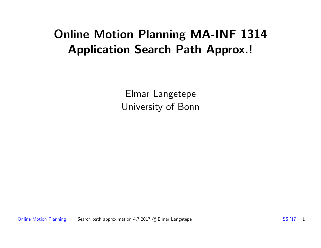#### Online Motion Planning MA-INF 1314 Application Search Path Approx.!

Elmar Langetepe University of Bonn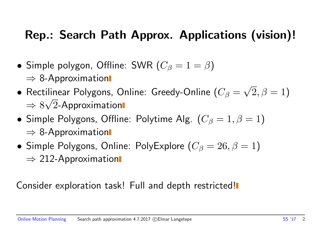#### Rep.: Search Path Approx. Applications (vision)!

- Simple polygon, Offline: SWR  $(C_\beta = 1 = \beta)$  $\Rightarrow$  8-Approximation
- $\bullet$  Rectilinear Polygons, Online: Greedy-Online ( $C_\beta=$ √  $(2,\beta=1)$  $\Rightarrow 8\sqrt{2}$ -Approximation √
- Simple Polygons, Offline: Polytime Alg.  $(C_\beta = 1, \beta = 1)$  $\Rightarrow$  8-Approximation
- Simple Polygons, Online: PolyExplore  $(C_\beta = 26, \beta = 1)$  $\Rightarrow$  212-Approximation

#### Consider exploration task! Full and depth restricted!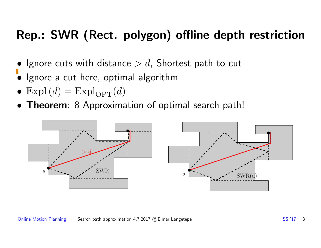#### Rep.: SWR (Rect. polygon) offline depth restriction

- Ignore cuts with distance  $> d$ , Shortest path to cut
- Ignore a cut here, optimal algorithm
- Expl $(d)$  = Expl<sub>OPT</sub> $(d)$
- **Theorem**: 8 Approximation of optimal search path!

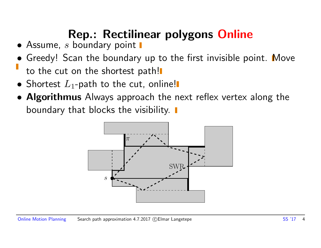### Rep.: Rectilinear polygons Online

- $\bullet$  Assume, s boundary point  $\blacksquare$
- Greedy! Scan the boundary up to the first invisible point. Move to the cut on the shortest path!
- Shortest  $L_1$ -path to the cut, online!
- Algorithmus Always approach the next reflex vertex along the boundary that blocks the visibility.

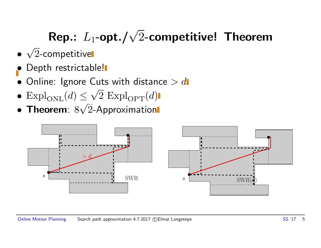# Rep.:  $L_1$ -opt./ $\sqrt{2}$ -competitive! Theorem

- √ 2-competitive
- Depth restrictable!
- $\bullet$  Online: Ignore Cuts with distance  $> d$ √
- $\text{Expl}_{\text{ONL}}(d) \leq \sqrt{2} \text{Expl}_{\text{OPT}}(d)$ √
- Theorem:  $8\sqrt{2}$ -Approximation

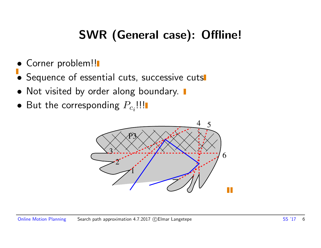#### SWR (General case): Offline!

- Corner problem!!
- Sequence of essential cuts, successive cuts
- Not visited by order along boundary.  $\blacksquare$
- $\bullet$  But the corresponding  $P_{c_i}$ !!!

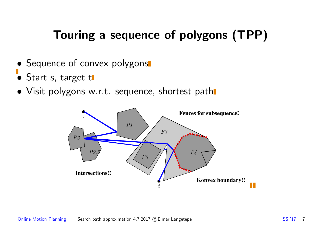#### Touring a sequence of polygons (TPP)

- Sequence of convex polygons
- Start s, target t
- Visit polygons w.r.t. sequence, shortest path

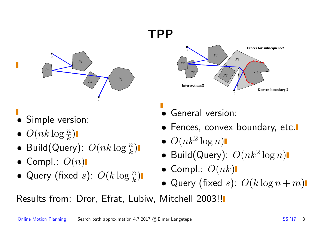#### TPP



- Simple version:
- $\bullet$   $O(nk \log \frac{n}{k})$
- Build(Query):  $O(nk \log \frac{n}{k})$
- Compl.:  $O(n)$
- Query (fixed s):  $O(k \log \frac{n}{k})$



- General version:
- Fences, convex boundary, etc.
- $\bullet$   $O(nk^2 \log n)$
- Build(Query):  $O(nk^2 \log n)$
- Compl.:  $O(nk)$
- Query (fixed s):  $O(k \log n + m)$

Results from: Dror, Efrat, Lubiw, Mitchell 2003!!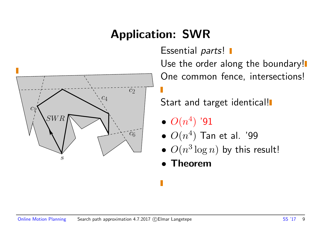#### Application: SWR



Essential parts! I

Use the order along the boundary! One common fence, intersections!

Start and target identical!

- $\bullet$   $O(n^4)$  '91
- $\bullet$   $O(n^4)$  Tan et al. '99
- $O(n^3 \log n)$  by this result!
- Theorem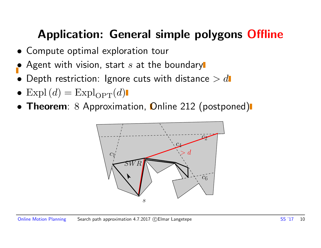#### Application: General simple polygons Offline

- Compute optimal exploration tour
- Agent with vision, start  $s$  at the boundary
- Depth restriction: Ignore cuts with distance  $> d$
- Expl $(d)$  = Expl<sub>OPT</sub> $(d)$
- Theorem: 8 Approximation, Online 212 (postponed)

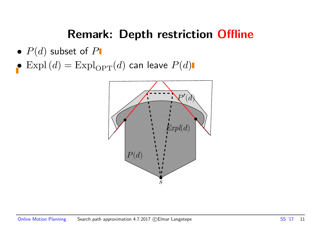#### Remark: Depth restriction Offline

- $P(d)$  subset of  $P$
- $\bullet$  Expl $(d)$  = Expl $_{\mathrm{OPT}}(d)$  can leave  $P(d)$

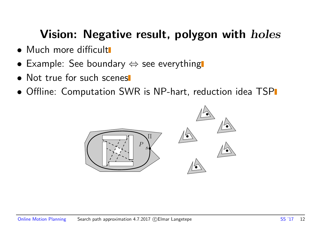#### Vision: Negative result, polygon with *holes*

- Much more difficult
- Example: See boundary  $\Leftrightarrow$  see everything
- Not true for such scenes
- Offline: Computation SWR is NP-hart, reduction idea TSP

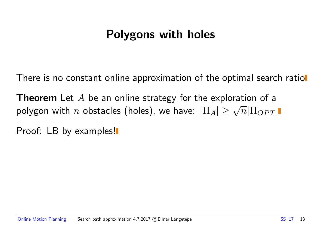#### Polygons with holes

There is no constant online approximation of the optimal search ratiol

**Theorem** Let  $A$  be an online strategy for the exploration of a **i** in the case of the conduct of a polygon with  $n$  obstacles (holes), we have:  $|\Pi_A| \ge \sqrt{n} |\Pi_{OPT}|$ 

Proof: LB by examples!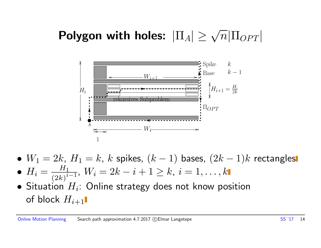## Polygon with holes:  $|\Pi_A| \geq \sqrt{n} |\Pi_{OPT}|$



- $W_1 = 2k$ ,  $H_1 = k$ ,  $k$  spikes,  $(k-1)$  bases,  $(2k-1)k$  rectangles
- $\bullet$   $H_i = \frac{H_1}{\left(\Omega_k\right)^i}$  $\frac{H_1}{(2k)^{i-1}}$ ,  $W_i = 2k-i+1 \geq k, \: i=1,\ldots,k$
- $\bullet$  Situation  $H_i$ : Online strategy does not know position of block  $H_{i+1}$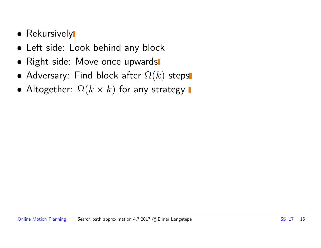- Rekursively
- Left side: Look behind any block
- Right side: Move once upwards
- Adversary: Find block after  $\Omega(k)$  steps
- Altogether:  $\Omega(k \times k)$  for any strategy  $\blacksquare$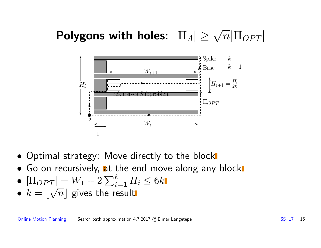## Polygons with holes:  $|\Pi_A|\geq \sqrt{n}|\Pi_{OPT}|$



- Optimal strategy: Move directly to the block
- Go on recursively, at the end move along any block
- $[\Pi_{OPT}] = W_1 + 2 \sum_{i=1}^k H_i \le 6k$
- $\bullet$   $k = |\sqrt{n}|$  gives the result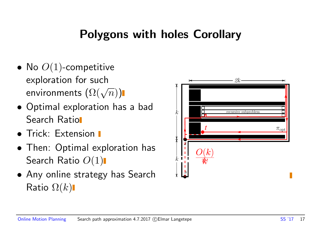#### Polygons with holes Corollary

- No  $O(1)$ -competitive exploration for such exploration for such  $\mathsf{env}$ ironments  $(\Omega(\sqrt{n}))$
- Optimal exploration has a bad Search Ratio
- **Trick: Extension I**
- Then: Optimal exploration has Search Ratio  $O(1)$
- Any online strategy has Search Ratio  $\Omega(k)$

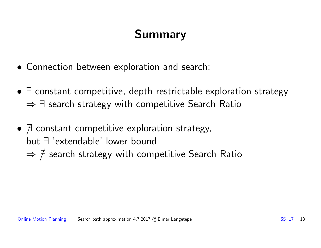#### Summary

- Connection between exploration and search:
- ∃ constant-competitive, depth-restrictable exploration strategy  $\Rightarrow$   $\exists$  search strategy with competitive Search Ratio
- $\bullet$   $\nexists$  constant-competitive exploration strategy, but ∃ 'extendable' lower bound  $\Rightarrow \not \exists$  search strategy with competitive Search Ratio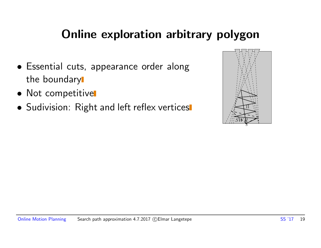#### Online exploration arbitrary polygon

- Essential cuts, appearance order along the boundary
- Not competitive
- Sudivision: Right and left reflex vertices

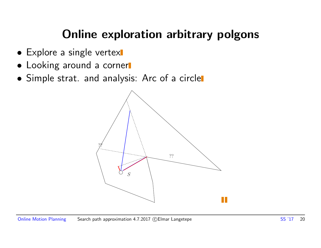#### Online exploration arbitrary polgons

- Explore a single vertex
- Looking around a corner
- Simple strat. and analysis: Arc of a circle

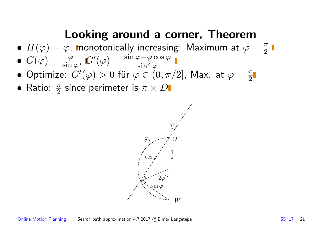#### Looking around a corner, Theorem

- $H(\varphi) = \varphi$ , monotonically increasing: Maximum at  $\varphi = \frac{\pi}{2}$ 2
- $\bullet$   $G(\varphi)=\frac{\varphi}{\sin\varphi}$ ,  $G'(\varphi)=\frac{\sin\varphi-\varphi\cos\varphi}{\sin^2\varphi}$  $\overline{\sin^2\varphi}$
- $\bullet$  Optimize:  $G'(\varphi) > 0$  für  $\varphi \in (0, \pi/2]$ , Max. at  $\varphi = \frac{\pi}{2}$ 2
- Ratio:  $\frac{\pi}{2}$  since perimeter is  $\pi \times D$

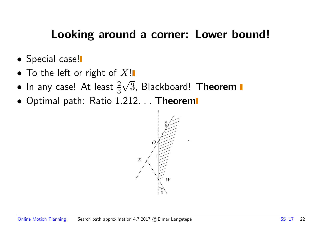#### Looking around a corner: Lower bound!

- **•** Special case!
- To the left or right of  $X!$ √
- $\bullet$  In any case! At least  $\frac{2}{3}\sqrt{3}$ , Blackboard! Theorem
- Optimal path: Ratio 1.212. . . Theorem

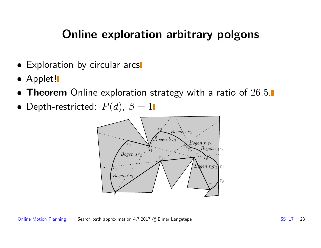#### Online exploration arbitrary polgons

- Exploration by circular arcs
- Applet!
- **Theorem** Online exploration strategy with a ratio of  $26.5$ .
- Depth-restricted:  $P(d)$ ,  $\beta = 1$